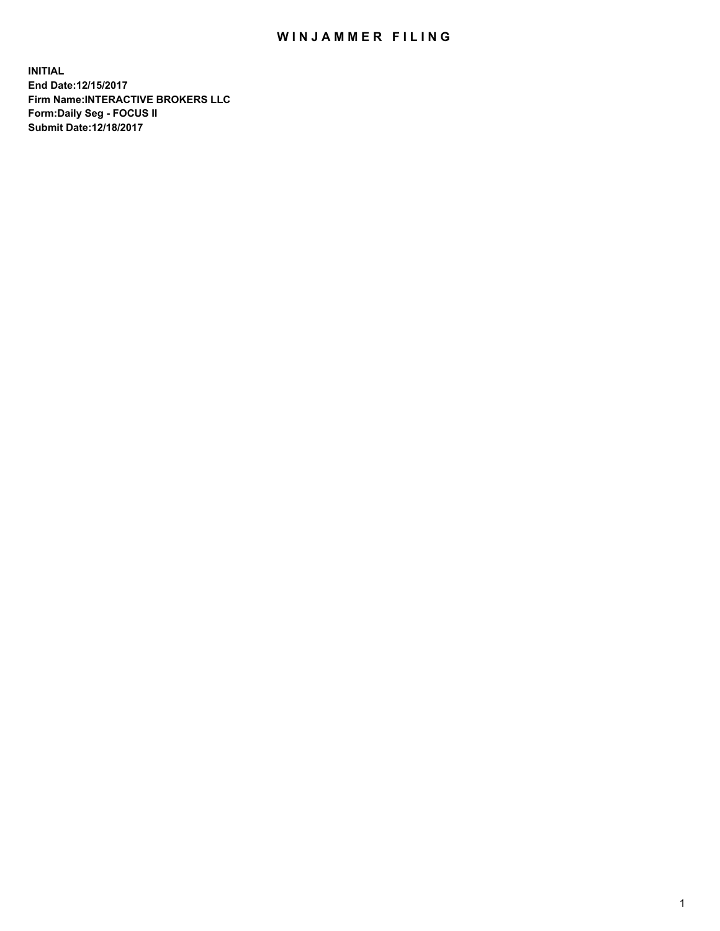## WIN JAMMER FILING

**INITIAL End Date:12/15/2017 Firm Name:INTERACTIVE BROKERS LLC Form:Daily Seg - FOCUS II Submit Date:12/18/2017**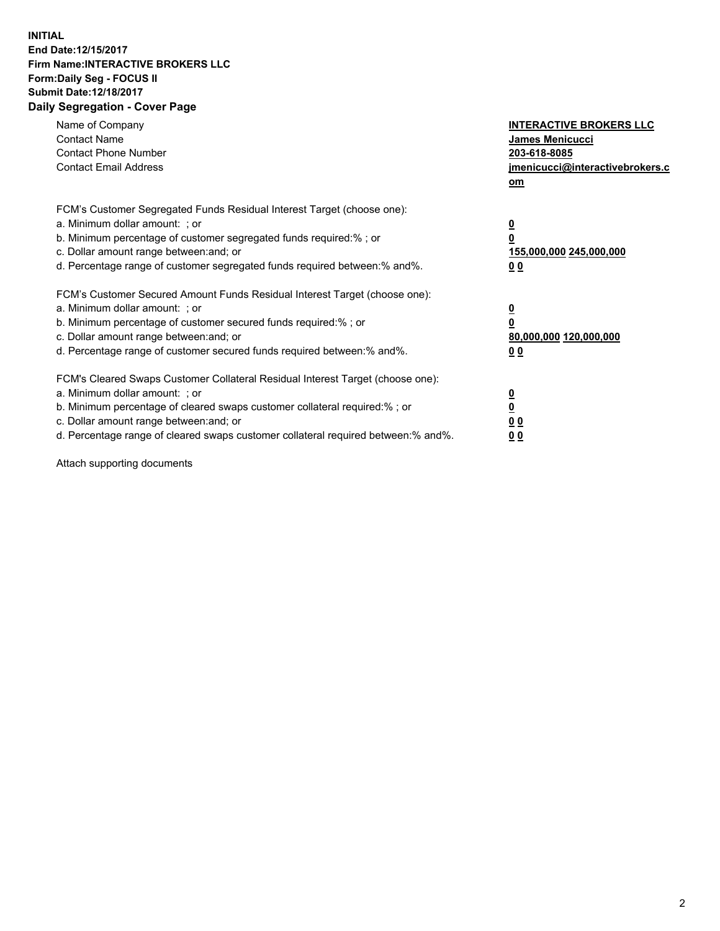## **INITIAL End Date:12/15/2017 Firm Name:INTERACTIVE BROKERS LLC Form:Daily Seg - FOCUS II Submit Date:12/18/2017 Daily Segregation - Cover Page**

| Name of Company<br><b>Contact Name</b><br><b>Contact Phone Number</b><br><b>Contact Email Address</b>                                                                                                                                                                                                                          | <b>INTERACTIVE BROKERS LLC</b><br><b>James Menicucci</b><br>203-618-8085<br>jmenicucci@interactivebrokers.c<br>om |
|--------------------------------------------------------------------------------------------------------------------------------------------------------------------------------------------------------------------------------------------------------------------------------------------------------------------------------|-------------------------------------------------------------------------------------------------------------------|
| FCM's Customer Segregated Funds Residual Interest Target (choose one):<br>a. Minimum dollar amount: ; or<br>b. Minimum percentage of customer segregated funds required:%; or<br>c. Dollar amount range between: and; or<br>d. Percentage range of customer segregated funds required between:% and%.                          | $\overline{\mathbf{0}}$<br>0<br>155,000,000 245,000,000<br>0 <sub>0</sub>                                         |
| FCM's Customer Secured Amount Funds Residual Interest Target (choose one):<br>a. Minimum dollar amount: ; or<br>b. Minimum percentage of customer secured funds required:%; or<br>c. Dollar amount range between: and; or<br>d. Percentage range of customer secured funds required between: % and %.                          | $\overline{\mathbf{0}}$<br>0<br>80,000,000 120,000,000<br>0 <sub>0</sub>                                          |
| FCM's Cleared Swaps Customer Collateral Residual Interest Target (choose one):<br>a. Minimum dollar amount: ; or<br>b. Minimum percentage of cleared swaps customer collateral required:% ; or<br>c. Dollar amount range between: and; or<br>d. Percentage range of cleared swaps customer collateral required between:% and%. | $\overline{\mathbf{0}}$<br>$\overline{\mathbf{0}}$<br>0 <sub>0</sub><br><u>00</u>                                 |

Attach supporting documents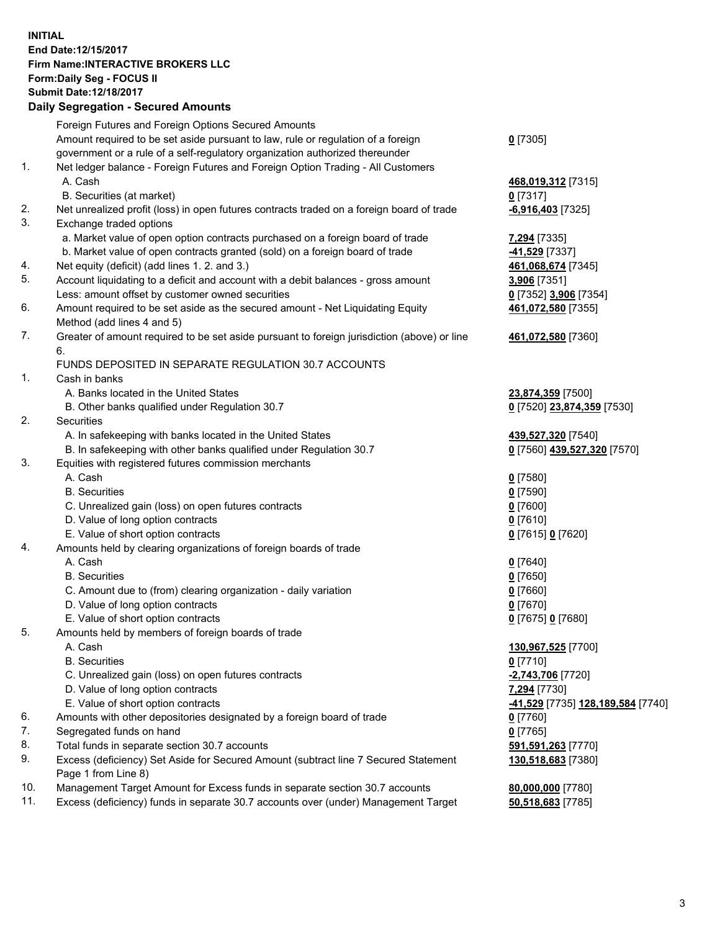## **INITIAL End Date:12/15/2017 Firm Name:INTERACTIVE BROKERS LLC Form:Daily Seg - FOCUS II Submit Date:12/18/2017**<br>**Daily Segregation - Secured Amounts Daily Segregation - Secured**

|     | Daily Segregation - Secured Amounts                                                               |                                                 |
|-----|---------------------------------------------------------------------------------------------------|-------------------------------------------------|
|     | Foreign Futures and Foreign Options Secured Amounts                                               |                                                 |
|     | Amount required to be set aside pursuant to law, rule or regulation of a foreign                  | $0$ [7305]                                      |
|     | government or a rule of a self-regulatory organization authorized thereunder                      |                                                 |
| 1.  | Net ledger balance - Foreign Futures and Foreign Option Trading - All Customers                   |                                                 |
|     | A. Cash                                                                                           | 468,019,312 [7315]                              |
|     | B. Securities (at market)                                                                         | $0$ [7317]                                      |
| 2.  | Net unrealized profit (loss) in open futures contracts traded on a foreign board of trade         | $-6,916,403$ [7325]                             |
| 3.  | Exchange traded options                                                                           |                                                 |
|     | a. Market value of open option contracts purchased on a foreign board of trade                    | 7,294 [7335]                                    |
|     | b. Market value of open contracts granted (sold) on a foreign board of trade                      | -41,529 [7337]                                  |
| 4.  | Net equity (deficit) (add lines 1.2. and 3.)                                                      | 461,068,674 [7345]                              |
| 5.  | Account liquidating to a deficit and account with a debit balances - gross amount                 | 3,906 [7351]                                    |
|     | Less: amount offset by customer owned securities                                                  | 0 [7352] 3,906 [7354]                           |
| 6.  | Amount required to be set aside as the secured amount - Net Liquidating Equity                    |                                                 |
|     | Method (add lines 4 and 5)                                                                        | 461,072,580 [7355]                              |
| 7.  |                                                                                                   |                                                 |
|     | Greater of amount required to be set aside pursuant to foreign jurisdiction (above) or line<br>6. | 461,072,580 [7360]                              |
|     | FUNDS DEPOSITED IN SEPARATE REGULATION 30.7 ACCOUNTS                                              |                                                 |
| 1.  | Cash in banks                                                                                     |                                                 |
|     |                                                                                                   |                                                 |
|     | A. Banks located in the United States                                                             | 23,874,359 [7500]                               |
| 2.  | B. Other banks qualified under Regulation 30.7                                                    | 0 [7520] 23,874,359 [7530]                      |
|     | Securities                                                                                        |                                                 |
|     | A. In safekeeping with banks located in the United States                                         | 439,527,320 [7540]                              |
| 3.  | B. In safekeeping with other banks qualified under Regulation 30.7                                | 0 [7560] 439,527,320 [7570]                     |
|     | Equities with registered futures commission merchants                                             |                                                 |
|     | A. Cash                                                                                           | $0$ [7580]                                      |
|     | <b>B.</b> Securities                                                                              | $0$ [7590]                                      |
|     | C. Unrealized gain (loss) on open futures contracts                                               | $0$ [7600]                                      |
|     | D. Value of long option contracts                                                                 | $0$ [7610]                                      |
|     | E. Value of short option contracts                                                                | 0 [7615] 0 [7620]                               |
| 4.  | Amounts held by clearing organizations of foreign boards of trade                                 |                                                 |
|     | A. Cash                                                                                           | $0$ [7640]                                      |
|     | <b>B.</b> Securities                                                                              | $0$ [7650]                                      |
|     | C. Amount due to (from) clearing organization - daily variation                                   | $0$ [7660]                                      |
|     | D. Value of long option contracts                                                                 | $0$ [7670]                                      |
|     | E. Value of short option contracts                                                                | 0 [7675] 0 [7680]                               |
| 5.  | Amounts held by members of foreign boards of trade                                                |                                                 |
|     | A. Cash                                                                                           | 130,967,525 [7700]                              |
|     | <b>B.</b> Securities                                                                              | $0$ [7710]                                      |
|     | C. Unrealized gain (loss) on open futures contracts                                               | -2,743,706 [7720]                               |
|     | D. Value of long option contracts                                                                 | 7,294 [7730]                                    |
|     | E. Value of short option contracts                                                                | <u>-41,529</u> [7735] <u>128,189,584</u> [7740] |
| 6.  | Amounts with other depositories designated by a foreign board of trade                            | 0 [7760]                                        |
| 7.  | Segregated funds on hand                                                                          | $0$ [7765]                                      |
| 8.  | Total funds in separate section 30.7 accounts                                                     | 591,591,263 [7770]                              |
| 9.  | Excess (deficiency) Set Aside for Secured Amount (subtract line 7 Secured Statement               | 130,518,683 [7380]                              |
|     | Page 1 from Line 8)                                                                               |                                                 |
| 10. | Management Target Amount for Excess funds in separate section 30.7 accounts                       | 80,000,000 [7780]                               |
| 11. | Excess (deficiency) funds in separate 30.7 accounts over (under) Management Target                | 50,518,683 [7785]                               |
|     |                                                                                                   |                                                 |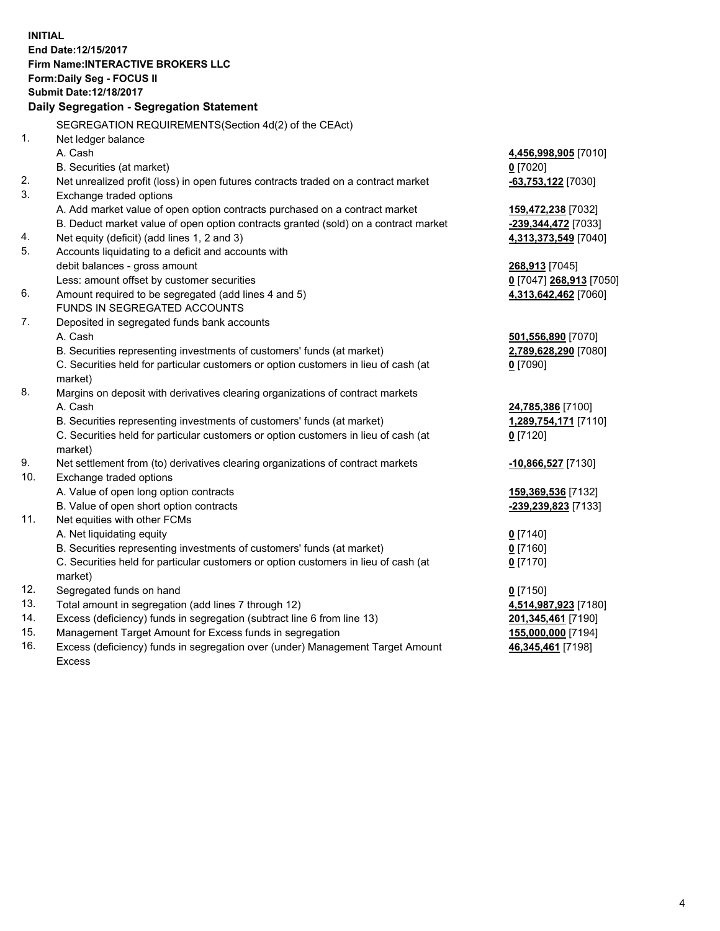**INITIAL End Date:12/15/2017 Firm Name:INTERACTIVE BROKERS LLC Form:Daily Seg - FOCUS II Submit Date:12/18/2017 Daily Segregation - Segregation Statement** SEGREGATION REQUIREMENTS(Section 4d(2) of the CEAct) 1. Net ledger balance A. Cash **4,456,998,905** [7010] B. Securities (at market) **0** [7020] 2. Net unrealized profit (loss) in open futures contracts traded on a contract market **-63,753,122** [7030] 3. Exchange traded options A. Add market value of open option contracts purchased on a contract market **159,472,238** [7032] B. Deduct market value of open option contracts granted (sold) on a contract market **-239,344,472** [7033] 4. Net equity (deficit) (add lines 1, 2 and 3) **4,313,373,549** [7040] 5. Accounts liquidating to a deficit and accounts with debit balances - gross amount **268,913** [7045] Less: amount offset by customer securities **0** [7047] **268,913** [7050] 6. Amount required to be segregated (add lines 4 and 5) **4,313,642,462** [7060] FUNDS IN SEGREGATED ACCOUNTS 7. Deposited in segregated funds bank accounts A. Cash **501,556,890** [7070] B. Securities representing investments of customers' funds (at market) **2,789,628,290** [7080] C. Securities held for particular customers or option customers in lieu of cash (at market) **0** [7090] 8. Margins on deposit with derivatives clearing organizations of contract markets A. Cash **24,785,386** [7100] B. Securities representing investments of customers' funds (at market) **1,289,754,171** [7110] C. Securities held for particular customers or option customers in lieu of cash (at market) **0** [7120] 9. Net settlement from (to) derivatives clearing organizations of contract markets **-10,866,527** [7130] 10. Exchange traded options A. Value of open long option contracts **159,369,536** [7132] B. Value of open short option contracts **-239,239,823** [7133] 11. Net equities with other FCMs A. Net liquidating equity **0** [7140] B. Securities representing investments of customers' funds (at market) **0** [7160] C. Securities held for particular customers or option customers in lieu of cash (at market) **0** [7170] 12. Segregated funds on hand **0** [7150] 13. Total amount in segregation (add lines 7 through 12) **4,514,987,923** [7180] 14. Excess (deficiency) funds in segregation (subtract line 6 from line 13) **201,345,461** [7190] 15. Management Target Amount for Excess funds in segregation **155,000,000** [7194] **46,345,461** [7198]

16. Excess (deficiency) funds in segregation over (under) Management Target Amount Excess